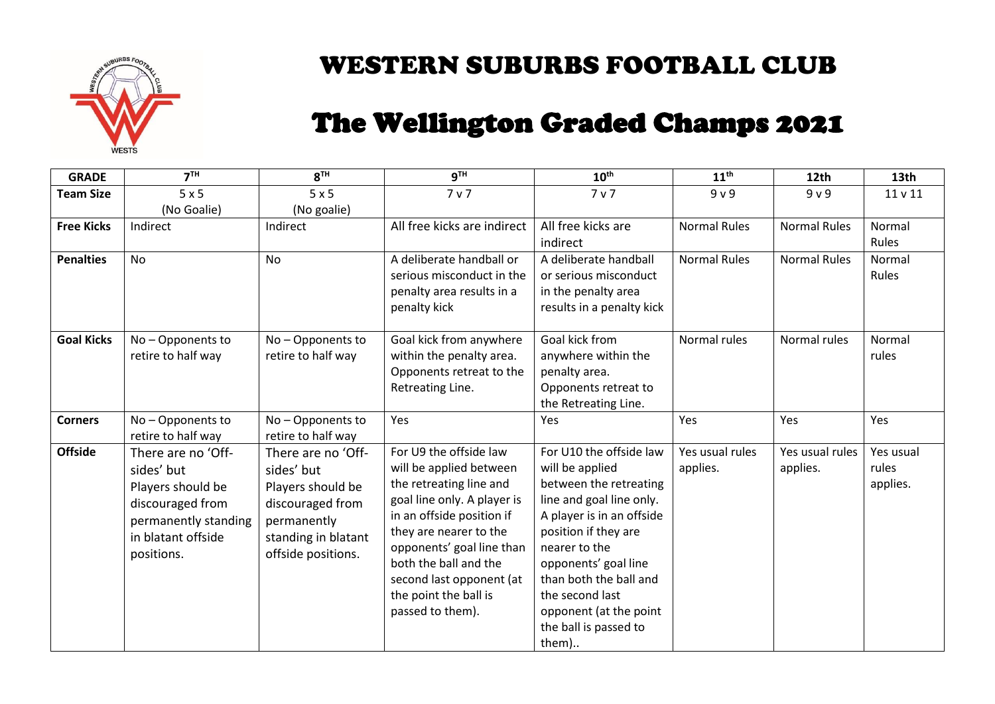

# WESTERN SUBURBS FOOTBALL CLUB

# The Wellington Graded Champs 2021

| <b>GRADE</b>      | 7 <sup>TH</sup>      | 8 <sup>TH</sup>     | <b>gTH</b>                  | $10^{\text{th}}$          | 11 <sup>th</sup>    | 12th                | 13th      |
|-------------------|----------------------|---------------------|-----------------------------|---------------------------|---------------------|---------------------|-----------|
| <b>Team Size</b>  | 5x5                  | 5x5                 | 7 v 7                       | 7 <sub>v</sub>            | 9 <sub>v</sub>      | 9 <sub>v</sub>      | 11 v 11   |
|                   | (No Goalie)          | (No goalie)         |                             |                           |                     |                     |           |
| <b>Free Kicks</b> | Indirect             | Indirect            | All free kicks are indirect | All free kicks are        | <b>Normal Rules</b> | <b>Normal Rules</b> | Normal    |
|                   |                      |                     |                             | indirect                  |                     |                     | Rules     |
| <b>Penalties</b>  | <b>No</b>            | No                  | A deliberate handball or    | A deliberate handball     | <b>Normal Rules</b> | <b>Normal Rules</b> | Normal    |
|                   |                      |                     | serious misconduct in the   | or serious misconduct     |                     |                     | Rules     |
|                   |                      |                     | penalty area results in a   | in the penalty area       |                     |                     |           |
|                   |                      |                     | penalty kick                | results in a penalty kick |                     |                     |           |
|                   |                      |                     |                             |                           |                     |                     |           |
| <b>Goal Kicks</b> | No-Opponents to      | No - Opponents to   | Goal kick from anywhere     | Goal kick from            | Normal rules        | Normal rules        | Normal    |
|                   | retire to half way   | retire to half way  | within the penalty area.    | anywhere within the       |                     |                     | rules     |
|                   |                      |                     | Opponents retreat to the    | penalty area.             |                     |                     |           |
|                   |                      |                     | Retreating Line.            | Opponents retreat to      |                     |                     |           |
|                   |                      |                     |                             | the Retreating Line.      |                     |                     |           |
| <b>Corners</b>    | No-Opponents to      | No - Opponents to   | Yes                         | Yes                       | Yes                 | Yes                 | Yes       |
|                   | retire to half way   | retire to half way  |                             |                           |                     |                     |           |
| <b>Offside</b>    | There are no 'Off-   | There are no 'Off-  | For U9 the offside law      | For U10 the offside law   | Yes usual rules     | Yes usual rules     | Yes usual |
|                   | sides' but           | sides' but          | will be applied between     | will be applied           | applies.            | applies.            | rules     |
|                   | Players should be    | Players should be   | the retreating line and     | between the retreating    |                     |                     | applies.  |
|                   | discouraged from     | discouraged from    | goal line only. A player is | line and goal line only.  |                     |                     |           |
|                   | permanently standing | permanently         | in an offside position if   | A player is in an offside |                     |                     |           |
|                   | in blatant offside   | standing in blatant | they are nearer to the      | position if they are      |                     |                     |           |
|                   | positions.           | offside positions.  | opponents' goal line than   | nearer to the             |                     |                     |           |
|                   |                      |                     | both the ball and the       | opponents' goal line      |                     |                     |           |
|                   |                      |                     | second last opponent (at    | than both the ball and    |                     |                     |           |
|                   |                      |                     | the point the ball is       | the second last           |                     |                     |           |
|                   |                      |                     | passed to them).            | opponent (at the point    |                     |                     |           |
|                   |                      |                     |                             | the ball is passed to     |                     |                     |           |
|                   |                      |                     |                             | them)                     |                     |                     |           |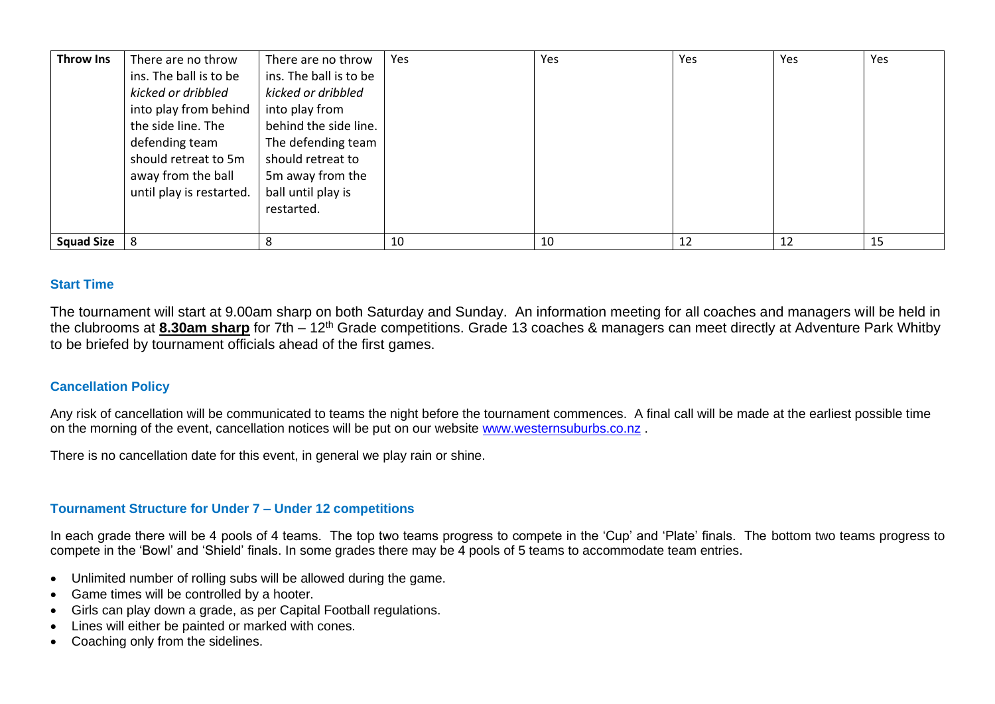| <b>Throw Ins</b>  | There are no throw       | There are no throw     | Yes | Yes | Yes | Yes | Yes |
|-------------------|--------------------------|------------------------|-----|-----|-----|-----|-----|
|                   | ins. The ball is to be   | ins. The ball is to be |     |     |     |     |     |
|                   | kicked or dribbled       | kicked or dribbled     |     |     |     |     |     |
|                   | into play from behind    | into play from         |     |     |     |     |     |
|                   | the side line. The       | behind the side line.  |     |     |     |     |     |
|                   | defending team           | The defending team     |     |     |     |     |     |
|                   | should retreat to 5m     | should retreat to      |     |     |     |     |     |
|                   | away from the ball       | 5m away from the       |     |     |     |     |     |
|                   | until play is restarted. | ball until play is     |     |     |     |     |     |
|                   |                          | restarted.             |     |     |     |     |     |
|                   |                          |                        |     |     |     |     |     |
| <b>Squad Size</b> |                          | 8                      | 10  | 10  | 12  | 12  | 15  |

#### **Start Time**

The tournament will start at 9.00am sharp on both Saturday and Sunday. An information meeting for all coaches and managers will be held in the clubrooms at **8.30am sharp** for 7th – 12th Grade competitions. Grade 13 coaches & managers can meet directly at Adventure Park Whitby to be briefed by tournament officials ahead of the first games.

#### **Cancellation Policy**

Any risk of cancellation will be communicated to teams the night before the tournament commences. A final call will be made at the earliest possible time on the morning of the event, cancellation notices will be put on our website [www.westernsuburbs.co.nz](http://www.westernsuburbs.co.nz/) .

There is no cancellation date for this event, in general we play rain or shine.

## **Tournament Structure for Under 7 – Under 12 competitions**

In each grade there will be 4 pools of 4 teams. The top two teams progress to compete in the 'Cup' and 'Plate' finals. The bottom two teams progress to compete in the 'Bowl' and 'Shield' finals. In some grades there may be 4 pools of 5 teams to accommodate team entries.

- Unlimited number of rolling subs will be allowed during the game.
- Game times will be controlled by a hooter.
- Girls can play down a grade, as per Capital Football regulations.
- Lines will either be painted or marked with cones.
- Coaching only from the sidelines.